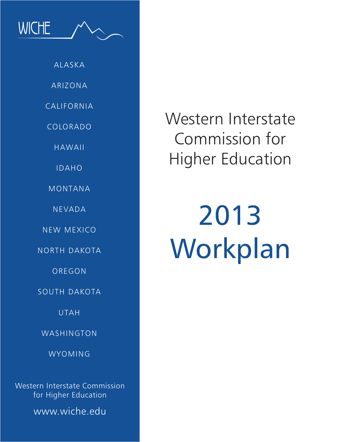ALASKA ARIZONA CALIFORNIA COLORADO HAWAII IDAHO MONTANA NEVADA NEW MEXICO NORTH DAKOTA OREGON SOUTH DAKOTA

**WICHE** 

UTAH

WASHINGTON

WYOMING

Western Interstate Commission for Higher Education

www.wiche.edu

Western Interstate Commission for Higher Education

# 2013 Workplan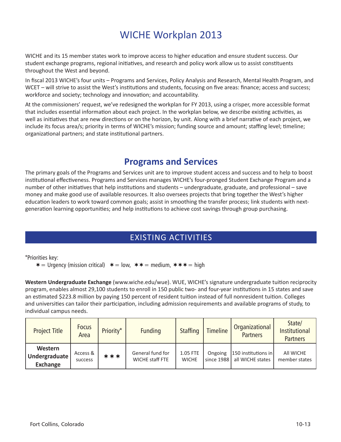# WICHE Workplan 2013

WICHE and its 15 member states work to improve access to higher education and ensure student success. Our student exchange programs, regional initiatives, and research and policy work allow us to assist constituents throughout the West and beyond.

In fiscal 2013 WICHE's four units – Programs and Services, Policy Analysis and Research, Mental Health Program, and WCET – will strive to assist the West's institutions and students, focusing on five areas: finance; access and success; workforce and society; technology and innovation; and accountability.

At the commissioners' request, we've redesigned the workplan for FY 2013, using a crisper, more accessible format that includes essential information about each project. In the workplan below, we describe existing activities, as well as initiatives that are new directions or on the horizon, by unit. Along with a brief narrative of each project, we include its focus area/s; priority in terms of WICHE's mission; funding source and amount; staffing level; timeline; organizational partners; and state institutional partners.

## **Programs and Services**

The primary goals of the Programs and Services unit are to improve student access and success and to help to boost institutional effectiveness. Programs and Services manages WICHE's four-pronged Student Exchange Program and a number of other initiatives that help institutions and students – undergraduate, graduate, and professional – save money and make good use of available resources. It also oversees projects that bring together the West's higher education leaders to work toward common goals; assist in smoothing the transfer process; link students with nextgeneration learning opportunities; and help institutions to achieve cost savings through group purchasing.

## EXISTING ACTIVITIES

\*Priorities key:

 $* =$  Urgency (mission critical)  $* =$  low,  $** =$  medium,  $** * =$  high

**Western Undergraduate Exchange** (www.wiche.edu/wue). WUE, WICHE's signature undergraduate tuition reciprocity program, enables almost 29,100 students to enroll in 150 public two- and four-year institutions in 15 states and save an estimated \$223.8 million by paying 150 percent of resident tuition instead of full nonresident tuition. Colleges and universities can tailor their participation, including admission requirements and available programs of study, to individual campus needs.

| <b>Project Title</b>                        | <b>Focus</b><br>Area | Priority* | <b>Funding</b>                      | <b>Staffing</b>          | <b>Timeline</b>       | Organizational<br><b>Partners</b>       | State/<br><b>Institutional</b><br><b>Partners</b> |
|---------------------------------------------|----------------------|-----------|-------------------------------------|--------------------------|-----------------------|-----------------------------------------|---------------------------------------------------|
| Western<br>Undergraduate<br><b>Exchange</b> | Access &<br>success  | ***       | General fund for<br>WICHE staff FTE | 1.05 FTE<br><b>WICHE</b> | Ongoing<br>since 1988 | 150 institutions in<br>all WICHE states | All WICHE<br>member states                        |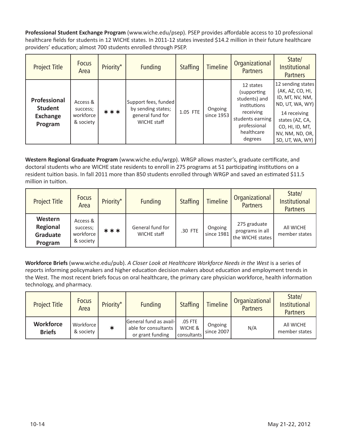**Professional Student Exchange Program** (www.wiche.edu/psep). PSEP provides affordable access to 10 professional healthcare fields for students in 12 WICHE states. In 2011-12 states invested \$14.2 million in their future healthcare providers' education; almost 700 students enrolled through PSEP.

| <b>Project Title</b>                                         | <b>Focus</b><br>Area                           | Priority* | <b>Funding</b>                                                                       | <b>Staffing</b> | <b>Timeline</b>       | Organizational<br><b>Partners</b>                                                                                                   | State/<br><b>Institutional</b><br><b>Partners</b>                                                                                                                           |
|--------------------------------------------------------------|------------------------------------------------|-----------|--------------------------------------------------------------------------------------|-----------------|-----------------------|-------------------------------------------------------------------------------------------------------------------------------------|-----------------------------------------------------------------------------------------------------------------------------------------------------------------------------|
| Professional<br><b>Student</b><br><b>Exchange</b><br>Program | Access &<br>success;<br>workforce<br>& society | ***       | Support fees, funded<br>by sending states;<br>general fund for<br><b>WICHE staff</b> | 1.05 FTE        | Ongoing<br>since 1953 | 12 states<br>(supporting<br>students) and<br>institutions<br>receiving<br>students earning<br>professional<br>healthcare<br>degrees | 12 sending states<br>(AK, AZ, CO, HI,<br>ID, MT, NV, NM,<br>ND, UT, WA, WY)<br>14 receiving<br>states (AZ, CA,<br>CO, HI, ID, MT,<br>NV, NM, ND, OR, $ $<br>SD, UT, WA, WY) |

**Western Regional Graduate Program** (www.wiche.edu/wrgp). WRGP allows master's, graduate certificate, and doctoral students who are WICHE state residents to enroll in 275 programs at 51 participating institutions on a resident tuition basis. In fall 2011 more than 850 students enrolled through WRGP and saved an estimated \$11.5 million in tuition.

| <b>Project Title</b>                       | <b>Focus</b><br>Area                           | Priority* | <b>Funding</b>                  | <b>Staffing</b> | <b>Timeline</b>       | Organizational<br><b>Partners</b>                   | State/<br><b>Institutional</b><br><b>Partners</b> |
|--------------------------------------------|------------------------------------------------|-----------|---------------------------------|-----------------|-----------------------|-----------------------------------------------------|---------------------------------------------------|
| Western<br>Regional<br>Graduate<br>Program | Access &<br>success;<br>workforce<br>& society | ***       | General fund for<br>WICHE staff | .30 FTE         | Ongoing<br>since 1981 | 275 graduate<br>programs in all<br>the WICHE states | All WICHE<br>member states                        |

**Workforce Briefs** (www.wiche.edu/pub). *A Closer Look at Healthcare Workforce Needs in the West* is a series of reports informing policymakers and higher education decision makers about education and employment trends in the West. The most recent briefs focus on oral healthcare, the primary care physician workforce, health information technology, and pharmacy.

| <b>Project Title</b>              | <b>Focus</b><br>Area   | Priority* | <b>Funding</b>                                                     | <b>Staffing</b>                   | <b>Timeline</b>       | Organizational<br><b>Partners</b> | State/<br><b>Institutional</b><br><b>Partners</b> |
|-----------------------------------|------------------------|-----------|--------------------------------------------------------------------|-----------------------------------|-----------------------|-----------------------------------|---------------------------------------------------|
| <b>Workforce</b><br><b>Briefs</b> | Workforce<br>& society | ∗         | General fund as avail-<br>able for consultants<br>or grant funding | .05 FTE<br>WICHE &<br>consultants | Ongoing<br>since 2007 | N/A                               | All WICHE<br>member states                        |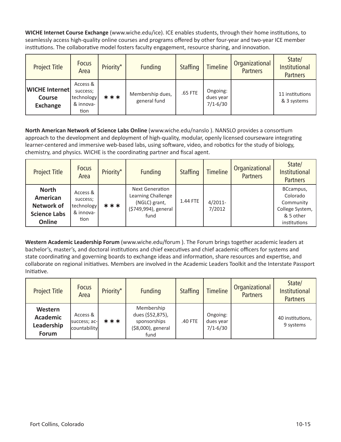**WICHE Internet Course Exchange** (www.wiche.edu/ice). ICE enables students, through their home institutions, to seamlessly access high-quality online courses and programs offered by other four-year and two-year ICE member institutions. The collaborative model fosters faculty engagement, resource sharing, and innovation.

| <b>Project Title</b>                                      | <b>Focus</b><br>Area                                    | Priority* | <b>Funding</b>                   | <b>Staffing</b> | <b>Timeline</b>                       | Organizational<br><b>Partners</b> | State/<br><b>Institutional</b><br><b>Partners</b> |
|-----------------------------------------------------------|---------------------------------------------------------|-----------|----------------------------------|-----------------|---------------------------------------|-----------------------------------|---------------------------------------------------|
| <b>WICHE</b> Internet<br><b>Course</b><br><b>Exchange</b> | Access &<br>success;<br>technology<br>& innova-<br>tion | ***       | Membership dues,<br>general fund | .65 FTE         | Ongoing:<br>dues year<br>$7/1 - 6/30$ |                                   | 11 institutions<br>& 3 systems                    |

**North American Network of Science Labs Online** (www.wiche.edu/nanslo ). NANSLO provides a consortium approach to the development and deployment of high-quality, modular, openly licensed courseware integrating learner-centered and immersive web-based labs, using software, video, and robotics for the study of biology, chemistry, and physics. WICHE is the coordinating partner and fiscal agent.

| <b>Project Title</b>                                                           | <b>Focus</b><br>Area                                    | Priority* | <b>Funding</b>                                                                                | <b>Staffing</b> | <b>Timeline</b>      | Organizational<br><b>Partners</b> | State/<br><b>Institutional</b><br><b>Partners</b>                                  |
|--------------------------------------------------------------------------------|---------------------------------------------------------|-----------|-----------------------------------------------------------------------------------------------|-----------------|----------------------|-----------------------------------|------------------------------------------------------------------------------------|
| <b>North</b><br>American<br><b>Network of</b><br><b>Science Labs</b><br>Online | Access &<br>success;<br>technology<br>& innova-<br>tion | ***       | <b>Next Generation</b><br>Learning Challenge<br>(NGLC) grant,<br>(\$749,994), general<br>fund | 1.44 FTE        | $4/2011$ -<br>7/2012 |                                   | BCcampus,<br>Colorado<br>Community<br>College System,<br>& 5 other<br>institutions |

**Western Academic Leadership Forum** (www.wiche.edu/forum ). The Forum brings together academic leaders at bachelor's, master's, and doctoral institutions and chief executives and chief academic officers for systems and state coordinating and governing boards to exchange ideas and information, share resources and expertise, and collaborate on regional initiatives. Members are involved in the Academic Leaders Toolkit and the Interstate Passport Initiative.

| <b>Project Title</b>                                     | <b>Focus</b><br>Area                     | Priority* | <b>Funding</b>                                                               | <b>Staffing</b> | <b>Timeline</b>                       | Organizational<br><b>Partners</b> | State/<br><b>Institutional</b><br><b>Partners</b> |
|----------------------------------------------------------|------------------------------------------|-----------|------------------------------------------------------------------------------|-----------------|---------------------------------------|-----------------------------------|---------------------------------------------------|
| Western<br><b>Academic</b><br>Leadership<br><b>Forum</b> | Access &<br>success; ac-<br>countability | ***       | Membership<br>dues (\$52,875),<br>sponsorships<br>(\$8,000), general<br>fund | .40 FTE         | Ongoing:<br>dues year<br>$7/1 - 6/30$ |                                   | 40 institutions,<br>9 systems                     |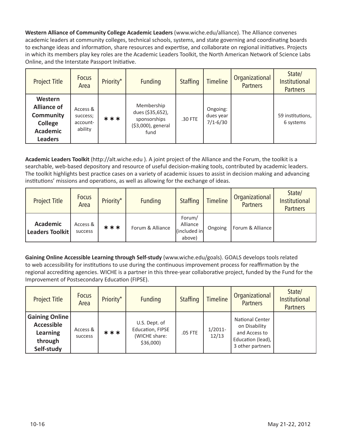**Western Alliance of Community College Academic Leaders** (www.wiche.edu/alliance). The Alliance convenes academic leaders at community colleges, technical schools, systems, and state governing and coordinating boards to exchange ideas and information, share resources and expertise, and collaborate on regional initiatives. Projects in which its members play key roles are the Academic Leaders Toolkit, the North American Network of Science Labs Online, and the Interstate Passport Initiative.

| <b>Project Title</b>                                                                              | <b>Focus</b><br>Area                        | Priority* | <b>Funding</b>                                                               | <b>Staffing</b> | <b>Timeline</b>                       | Organizational<br><b>Partners</b> | State/<br><b>Institutional</b><br><b>Partners</b> |
|---------------------------------------------------------------------------------------------------|---------------------------------------------|-----------|------------------------------------------------------------------------------|-----------------|---------------------------------------|-----------------------------------|---------------------------------------------------|
| Western<br><b>Alliance of</b><br><b>Community</b><br>College<br><b>Academic</b><br><b>Leaders</b> | Access &<br>success;<br>account-<br>ability | ***       | Membership<br>dues (\$35,652),<br>sponsorships<br>(\$3,000), general<br>fund | .30 FTE         | Ongoing:<br>dues year<br>$7/1 - 6/30$ |                                   | 59 institutions,<br>6 systems                     |

**Academic Leaders Toolkit** (http://alt.wiche.edu ). A joint project of the Alliance and the Forum, the toolkit is a searchable, web-based depository and resource of useful decision-making tools, contributed by academic leaders. The toolkit highlights best practice cases on a variety of academic issues to assist in decision making and advancing institutions' missions and operations, as well as allowing for the exchange of ideas.

| <b>Project Title</b>               | <b>Focus</b><br>Area | Priority* | <b>Funding</b>   | <b>Staffing</b>                              | <b>Timeline</b> | Organizational<br><b>Partners</b> | State/<br>Institutional<br><b>Partners</b> |
|------------------------------------|----------------------|-----------|------------------|----------------------------------------------|-----------------|-----------------------------------|--------------------------------------------|
| <b>Academic</b><br>Leaders Toolkit | Access &<br>success  | ***       | Forum & Alliance | Forum/<br>Alliance<br>(included in<br>above) | Ongoing         | Forum & Alliance                  |                                            |

**Gaining Online Accessible Learning through Self-study** (www.wiche.edu/goals). GOALS develops tools related to web accessibility for institutions to use during the continuous improvement process for reaffirmation by the regional accrediting agencies. WICHE is a partner in this three-year collaborative project, funded by the Fund for the Improvement of Postsecondary Education (FIPSE).

| <b>Project Title</b>                                                                   | <b>Focus</b><br>Area | Priority* | <b>Funding</b>                                                  | <b>Staffing</b> | <b>Timeline</b>     | Organizational<br><b>Partners</b>                                                                 | State/<br>Institutional<br><b>Partners</b> |
|----------------------------------------------------------------------------------------|----------------------|-----------|-----------------------------------------------------------------|-----------------|---------------------|---------------------------------------------------------------------------------------------------|--------------------------------------------|
| <b>Gaining Online</b><br><b>Accessible</b><br><b>Learning</b><br>through<br>Self-study | Access &<br>success  | ***       | U.S. Dept. of<br>Education, FIPSE<br>(WICHE share:<br>\$36,000) | .05 FTE         | $1/2011$ -<br>12/13 | <b>National Center</b><br>on Disability<br>and Access to<br>Education (lead),<br>3 other partners |                                            |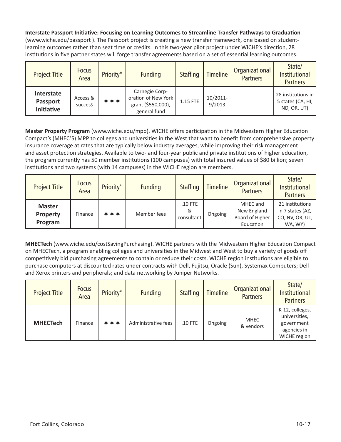**Interstate Passport Initiative: Focusing on Learning Outcomes to Streamline Transfer Pathways to Graduation** (www.wiche.edu/passport ). The Passport project is creating a new transfer framework, one based on studentlearning outcomes rather than seat time or credits. In this two-year pilot project under WICHE's direction, 28 institutions in five partner states will forge transfer agreements based on a set of essential learning outcomes.

| <b>Project Title</b>                        | <b>Focus</b><br>Area | Priority* | <b>Funding</b>                                                              | <b>Staffing</b> | <b>Timeline</b>    | Organizational<br><b>Partners</b> | State/<br>Institutional<br><b>Partners</b>               |
|---------------------------------------------|----------------------|-----------|-----------------------------------------------------------------------------|-----------------|--------------------|-----------------------------------|----------------------------------------------------------|
| Interstate<br><b>Passport</b><br>Initiative | Access &<br>success  | ***       | Carnegie Corp-<br>oration of New York<br>grant (\$550,000),<br>general fund | 1.15 FTE        | 10/2011-<br>9/2013 |                                   | 28 institutions in 1<br>5 states (CA, HI,<br>ND, OR, UT) |

**Master Property Program** (www.wiche.edu/mpp). WICHE offers participation in the Midwestern Higher Education Compact's (MHEC'S) MPP to colleges and universities in the West that want to benefit from comprehensive property insurance coverage at rates that are typically below industry averages, while improving their risk management and asset protection strategies. Available to two- and four-year public and private institutions of higher education, the program currently has 50 member institutions (100 campuses) with total insured values of \$80 billion; seven institutions and two systems (with 14 campuses) in the WICHE region are members.

| <b>Project Title</b>                        | <b>Focus</b><br>Area | Priority* | <b>Funding</b> | <b>Staffing</b>              | <b>Timeline</b> | Organizational<br><b>Partners</b>                       | State/<br><b>Institutional</b><br><b>Partners</b>                 |
|---------------------------------------------|----------------------|-----------|----------------|------------------------------|-----------------|---------------------------------------------------------|-------------------------------------------------------------------|
| <b>Master</b><br><b>Property</b><br>Program | Finance              | ***       | Member fees    | $.10$ FTE<br>&<br>consultant | Ongoing         | MHEC and<br>New England<br>Board of Higher<br>Education | 21 institutions<br>in 7 states (AZ,<br>CO, NV, OR, UT,<br>WA. WY) |

**MHECTech** (www.wiche.edu/costSavingPurchasing). WICHE partners with the Midwestern Higher Education Compact on MHECTech, a program enabling colleges and universities in the Midwest and West to buy a variety of goods off competitively bid purchasing agreements to contain or reduce their costs. WICHE region institutions are eligible to purchase computers at discounted rates under contracts with Dell, Fujitsu, Oracle (Sun), Systemax Computers; Dell and Xerox printers and peripherals; and data networking by Juniper Networks.

| <b>Project Title</b> | <b>Focus</b><br>Area | Priority* | <b>Funding</b>      | <b>Staffing</b> | <b>Timeline</b> | Organizational<br><b>Partners</b> | State/<br>Institutional<br><b>Partners</b>                                    |
|----------------------|----------------------|-----------|---------------------|-----------------|-----------------|-----------------------------------|-------------------------------------------------------------------------------|
| <b>MHECTech</b>      | Finance              | ***       | Administrative fees | $.10$ FTE       | Ongoing         | <b>MHEC</b><br>& vendors          | K-12, colleges,<br>universities,<br>government<br>agencies in<br>WICHE region |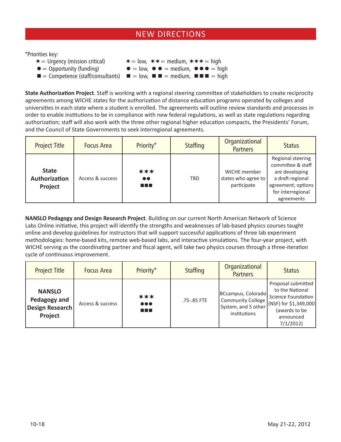## NEW DIRECTIONS

\*Priorities key:

 $* =$  Urgency (mission critical)  $* =$  low,  $* * =$  medium,  $* * * =$  high  $\bullet$  = Opportunity (funding)  $\bullet$  = low,  $\bullet$   $\bullet$  = medium,  $\bullet$   $\bullet$  = high  $\blacksquare$  = Competence (staff/consultants)  $\blacksquare$  = low,  $\blacksquare$  = medium,  $\blacksquare$  = high

**State Authorization Project**. Staff is working with a regional steering committee of stakeholders to create reciprocity agreements among WICHE states for the authorization of distance education programs operated by colleges and universities in each state where a student is enrolled. The agreements will outline review standards and processes in order to enable institutions to be in compliance with new federal regulations, as well as state regulations regarding authorization; staff will also work with the three other regional higher education compacts, the Presidents' Forum, and the Council of State Governments to seek interregional agreements.

| <b>Project Title</b>                     | <b>Focus Area</b> | Priority*                          | <b>Staffing</b> | Organizational<br><b>Partners</b>                  | <b>Status</b>                                                                                                                         |
|------------------------------------------|-------------------|------------------------------------|-----------------|----------------------------------------------------|---------------------------------------------------------------------------------------------------------------------------------------|
| <b>State</b><br>Authorization<br>Project | Access & success  | ***<br>$\bullet\bullet$<br>a sa sa | <b>TBD</b>      | WICHE member<br>states who agree to<br>participate | Regional steering<br>committee & staff<br>are developing<br>a draft regional<br>agreement; options<br>for interregional<br>agreements |

**NANSLO Pedagogy and Design Research Project**. Building on our current North American Network of Science Labs Online initiative, this project will identify the strengths and weaknesses of lab-based physics courses taught online and develop guidelines for instructors that will support successful applications of three lab experiment methodologies: home-based kits, remote web-based labs, and interactive simulations. The four-year project, with WICHE serving as the coordinating partner and fiscal agent, will take two physics courses through a three-iteration cycle of continuous improvement.

| <b>Project Title</b>                                        | <b>Focus Area</b> | Priority*                                 | <b>Staffing</b> | Organizational<br><b>Partners</b>                                                     | <b>Status</b>                                                                                                                  |
|-------------------------------------------------------------|-------------------|-------------------------------------------|-----------------|---------------------------------------------------------------------------------------|--------------------------------------------------------------------------------------------------------------------------------|
| <b>NANSLO</b><br>Pedagogy and<br>Design Research<br>Project | Access & success  | ***<br>$\bullet\bullet\bullet$<br>a sa sa | .75-.85 FTE     | BCcampus, Colorado<br><b>Community College</b><br>System, and 5 other<br>institutions | Proposal submitted<br>to the National<br>Science Foundation<br>(NSF) for \$1,349,000<br>(awards to be<br>announced<br>7/1/2012 |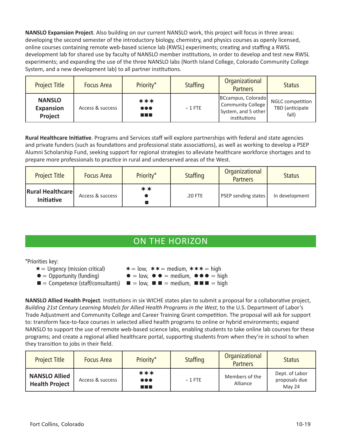**NANSLO Expansion Project**. Also building on our current NANSLO work, this project will focus in three areas: developing the second semester of the introductory biology, chemistry, and physics courses as openly licensed, online courses containing remote web-based science lab (RWSL) experiments; creating and staffing a RWSL development lab for shared use by faculty of NANSLO member institutions, in order to develop and test new RWSL experiments; and expanding the use of the three NANSLO labs (North Island College, Colorado Community College System, and a new development lab) to all partner institutions.

| <b>Project Title</b>                         | <b>Focus Area</b> | Priority*                                     | <b>Staffing</b> | Organizational<br><b>Partners</b>                                              | <b>Status</b>                                       |
|----------------------------------------------|-------------------|-----------------------------------------------|-----------------|--------------------------------------------------------------------------------|-----------------------------------------------------|
| <b>NANSLO</b><br><b>Expansion</b><br>Project | Access & success  | ***<br>$\bullet\bullet\bullet$<br>a kacamatan | $~\sim$ 1 FTE   | BCcampus, Colorado<br>Community College<br>System, and 5 other<br>institutions | <b>NGLC</b> competition<br>TBD (anticipate<br>fall) |

**Rural Healthcare Initiative**. Programs and Services staff will explore partnerships with federal and state agencies and private funders (such as foundations and professional state associations), as well as working to develop a PSEP Alumni Scholarship Fund, seeking support for regional strategies to alleviate healthcare workforce shortages and to prepare more professionals to practice in rural and underserved areas of the West.

| <b>Project Title</b>                         | <b>Focus Area</b> | Priority* | <b>Staffing</b> | Organizational<br><b>Partners</b> | <b>Status</b>  |
|----------------------------------------------|-------------------|-----------|-----------------|-----------------------------------|----------------|
| <b>Rural Healthcare</b><br><b>Initiative</b> | Access & success  | **        | .20 FTE         | PSEP sending states               | In development |

## ON THE HORIZON

\*Priorities key:

- $* =$  Urgency (mission critical)  $* =$  low,  $* * =$  medium,  $* * * =$  high
- $\bullet$  = Opportunity (funding)  $\bullet$  = low,  $\bullet$   $\bullet$  = medium,  $\bullet$   $\bullet$  = high
- $\blacksquare$  = Competence (staff/consultants)  $\blacksquare$  = low,  $\blacksquare$  = medium,  $\blacksquare$  =  $\blacksquare$  = high

**NANSLO Allied Health Project**. Institutions in six WICHE states plan to submit a proposal for a collaborative project, *Building 21st Century Learning Models for Allied Health Programs in the West*, to the U.S. Department of Labor's Trade Adjustment and Community College and Career Training Grant competition. The proposal will ask for support to: transform face-to-face courses in selected allied health programs to online or hybrid environments; expand NANSLO to support the use of remote web-based science labs, enabling students to take online lab courses for these programs; and create a regional allied healthcare portal, supporting students from when they're in school to when they transition to jobs in their field.

| <b>Project Title</b>                          | <b>Focus Area</b> | Priority*                                | <b>Staffing</b> | Organizational<br><b>Partners</b> | <b>Status</b>                             |
|-----------------------------------------------|-------------------|------------------------------------------|-----------------|-----------------------------------|-------------------------------------------|
| <b>NANSLO Allied</b><br><b>Health Project</b> | Access & success  | ***<br>$\bullet\bullet\bullet$<br>a sa B | $~\sim$ 1 FTE   | Members of the<br>Alliance        | Dept. of Labor<br>proposals due<br>May 24 |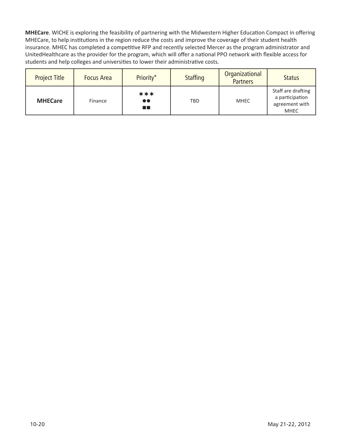**MHECare**. WICHE is exploring the feasibility of partnering with the Midwestern Higher Education Compact in offering MHECare, to help institutions in the region reduce the costs and improve the coverage of their student health insurance. MHEC has completed a competitive RFP and recently selected Mercer as the program administrator and UnitedHealthcare as the provider for the program, which will offer a national PPO network with flexible access for students and help colleges and universities to lower their administrative costs.

| <b>Project Title</b> | <b>Focus Area</b> | Priority*                      | <b>Staffing</b> | Organizational<br><b>Partners</b> | <b>Status</b>                                                          |
|----------------------|-------------------|--------------------------------|-----------------|-----------------------------------|------------------------------------------------------------------------|
| <b>MHECare</b>       | Finance           | ***<br>$\bullet\bullet$<br>m a | TBD             | <b>MHEC</b>                       | Staff are drafting<br>a participation<br>agreement with<br><b>MHEC</b> |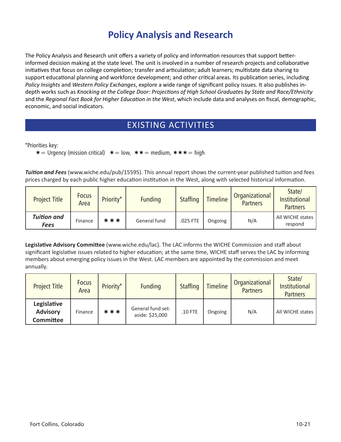# **Policy Analysis and Research**

The Policy Analysis and Research unit offers a variety of policy and information resources that support betterinformed decision making at the state level. The unit is involved in a number of research projects and collaborative initiatives that focus on college completion; transfer and articulation; adult learners; multistate data sharing to support educational planning and workforce development; and other critical areas. Its publication series, including *Policy Insights* and *Western Policy Exchanges*, explore a wide range of significant policy issues. It also publishes indepth works such as *Knocking at the College Door: Projections of High School Graduates by State and Race/Ethnicity*  and the *Regional Fact Book for Higher Education in the West*, which include data and analyses on fiscal, demographic, economic, and social indicators.

## EXISTING ACTIVITIES

\*Priorities key:

 $\ast$  = Urgency (mission critical)  $\ast$  = low,  $\ast \ast$  = medium,  $\ast \ast \ast$  = high

*Tuition and Fees* (www.wiche.edu/pub/15595). This annual report shows the current-year published tuition and fees prices charged by each public higher education institution in the West, along with selected historical information.

| <b>Project Title</b>       | <b>Focus</b><br>Area | Priority* | <b>Funding</b> | <b>Staffing</b> | <b>Timeline</b> | Organizational<br><b>Partners</b> | State/<br><b>Institutional</b><br><b>Partners</b> |
|----------------------------|----------------------|-----------|----------------|-----------------|-----------------|-----------------------------------|---------------------------------------------------|
| <b>Tuition and</b><br>Fees | Finance              | ***       | General fund   | .025 FTE        | Ongoing         | N/A                               | All WICHE states<br>respond                       |

**Legislative Advisory Committee** (www.wiche.edu/lac). The LAC informs the WICHE Commission and staff about significant legislative issues related to higher education; at the same time, WICHE staff serves the LAC by informing members about emerging policy issues in the West. LAC members are appointed by the commission and meet annually.

| <b>Project Title</b>                               | <b>Focus</b><br>Area | Priority* | <b>Funding</b>                       | <b>Staffing</b> | <b>Timeline</b> | Organizational<br><b>Partners</b> | State/<br><b>Institutional</b><br><b>Partners</b> |
|----------------------------------------------------|----------------------|-----------|--------------------------------------|-----------------|-----------------|-----------------------------------|---------------------------------------------------|
| Legislative<br><b>Advisory</b><br><b>Committee</b> | Finance              | ***       | General fund set-<br>aside: \$25,000 | $.10$ FTE       | Ongoing         | N/A                               | All WICHE states                                  |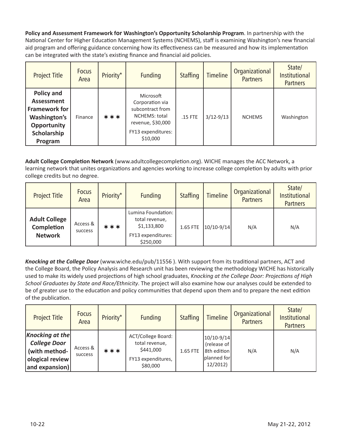**Policy and Assessment Framework for Washington's Opportunity Scholarship Program**. In partnership with the National Center for Higher Education Management Systems (NCHEMS), staff is examining Washington's new financial aid program and offering guidance concerning how its effectiveness can be measured and how its implementation can be integrated with the state's existing finance and financial aid policies.

| <b>Project Title</b>                                                                                      | <b>Focus</b><br>Area | Priority* | <b>Funding</b>                                                                                                           | <b>Staffing</b> | <b>Timeline</b> | Organizational<br><b>Partners</b> | State/<br><b>Institutional</b><br><b>Partners</b> |
|-----------------------------------------------------------------------------------------------------------|----------------------|-----------|--------------------------------------------------------------------------------------------------------------------------|-----------------|-----------------|-----------------------------------|---------------------------------------------------|
| Policy and<br>Assessment<br><b>Framework for</b><br>Washington's<br>Opportunity<br>Scholarship<br>Program | Finance              | ***       | Microsoft<br>Corporation via<br>subcontract from<br>NCHEMS: total<br>revenue, \$30,000<br>FY13 expenditures:<br>\$10,000 | .15 FTE         | $3/12 - 9/13$   | <b>NCHEMS</b>                     | Washington                                        |

**Adult College Completion Network** (www.adultcollegecompletion.org). WICHE manages the ACC Network, a learning network that unites organizations and agencies working to increase college completion by adults with prior college credits but no degree.

| <b>Project Title</b>                                 | <b>Focus</b><br>Area | Priority* | <b>Funding</b>                                                                         | <b>Staffing</b> | <b>Timeline</b> | Organizational<br><b>Partners</b> | State/<br>Institutional<br><b>Partners</b> |
|------------------------------------------------------|----------------------|-----------|----------------------------------------------------------------------------------------|-----------------|-----------------|-----------------------------------|--------------------------------------------|
| <b>Adult College</b><br>Completion<br><b>Network</b> | Access &<br>success  | ***       | Lumina Foundation:<br>total revenue,<br>\$1,133,800<br>FY13 expenditures:<br>\$250,000 | 1.65 FTE        | $10/10-9/14$    | N/A                               | N/A                                        |

*Knocking at the College Door* (www.wiche.edu/pub/11556 ). With support from its traditional partners, ACT and the College Board, the Policy Analysis and Research unit has been reviewing the methodology WICHE has historically used to make its widely used projections of high school graduates, *Knocking at the College Door: Projections of High School Graduates by State and Race/Ethnicity*. The project will also examine how our analyses could be extended to be of greater use to the education and policy communities that depend upon them and to prepare the next edition of the publication.

| <b>Project Title</b>                                                                                | <b>Focus</b><br>Area | Priority* | <b>Funding</b>                                                                      | <b>Staffing</b> | <b>Timeline</b>                                                         | Organizational<br><b>Partners</b> | State/<br><b>Institutional</b><br><b>Partners</b> |
|-----------------------------------------------------------------------------------------------------|----------------------|-----------|-------------------------------------------------------------------------------------|-----------------|-------------------------------------------------------------------------|-----------------------------------|---------------------------------------------------|
| <b>Knocking at the</b><br><b>College Door</b><br>(with method-<br>ological review<br>and expansion) | Access &<br>success  | ***       | ACT/College Board:<br>total revenue,<br>\$441,000<br>FY13 expenditures,<br>\$80,000 | 1.65 FTE        | $10/10 - 9/14$<br>(release of<br>8th edition<br>planned for<br>12/2012) | N/A                               | N/A                                               |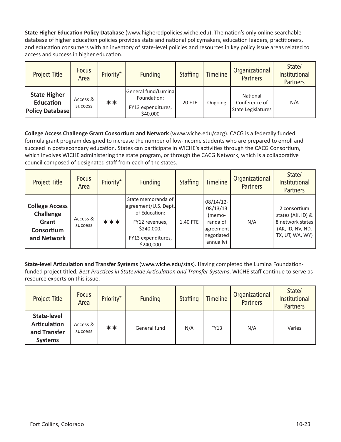**State Higher Education Policy Database** (www.higheredpolicies.wiche.edu). The nation's only online searchable database of higher education policies provides state and national policymakers, education leaders, practitioners, and education consumers with an inventory of state-level policies and resources in key policy issue areas related to access and success in higher education.

| <b>Project Title</b>                                              | <b>Focus</b><br>Area | Priority* | <b>Funding</b>                                                       | <b>Staffing</b> | <b>Timeline</b> | Organizational<br><b>Partners</b>               | State/<br>Institutional<br><b>Partners</b> |
|-------------------------------------------------------------------|----------------------|-----------|----------------------------------------------------------------------|-----------------|-----------------|-------------------------------------------------|--------------------------------------------|
| <b>State Higher</b><br><b>Education</b><br><b>Policy Database</b> | Access &<br>success  | **        | General fund/Lumina<br>Foundation:<br>FY13 expenditures,<br>\$40,000 | .20 FTE         | Ongoing         | National<br>Conference of<br>State Legislatures | N/A                                        |

**College Access Challenge Grant Consortium and Network** (www.wiche.edu/cacg). CACG is a federally funded formula grant program designed to increase the number of low-income students who are prepared to enroll and succeed in postsecondary education. States can participate in WICHE's activities through the CACG Consortium, which involves WICHE administering the state program, or through the CACG Network, which is a collaborative council composed of designated staff from each of the states.

| <b>Project Title</b>                                                            | <b>Focus</b><br>Area | Priority* | <b>Funding</b>                                                                                                                 | <b>Staffing</b> | <b>Timeline</b>                                                                        | Organizational<br><b>Partners</b> | State/<br>Institutional<br><b>Partners</b>                                                       |
|---------------------------------------------------------------------------------|----------------------|-----------|--------------------------------------------------------------------------------------------------------------------------------|-----------------|----------------------------------------------------------------------------------------|-----------------------------------|--------------------------------------------------------------------------------------------------|
| <b>College Access</b><br><b>Challenge</b><br>Grant<br>Consortium<br>and Network | Access &<br>success  | ***       | State memoranda of<br>agreement/U.S. Dept.<br>of Education:<br>FY12 revenues,<br>\$240,000;<br>FY13 expenditures,<br>\$240,000 | 1.40 FTE        | $08/14/12$ -<br>08/13/13<br>(memo-<br>randa of<br>agreement<br>negotiated<br>annually) | N/A                               | 2 consortium<br>states (AK, ID) &<br>8 network states<br>(AK, ID, NV, ND,<br>TX, UT, WA, WY) $ $ |

**State-level Articulation and Transfer Systems** (www.wiche.edu/stas). Having completed the Lumina Foundationfunded project titled, *Best Practices in Statewide Articulation and Transfer Systems*, WICHE staff continue to serve as resource experts on this issue.

| <b>Project Title</b>                                                 | <b>Focus</b><br>Area       | Priority* | <b>Funding</b> | <b>Staffing</b> | <b>Timeline</b> | Organizational<br><b>Partners</b> | State/<br>Institutional<br><b>Partners</b> |
|----------------------------------------------------------------------|----------------------------|-----------|----------------|-----------------|-----------------|-----------------------------------|--------------------------------------------|
| State-level<br><b>Articulation</b><br>and Transfer<br><b>Systems</b> | Access &<br><b>SUCCESS</b> | **        | General fund   | N/A             | <b>FY13</b>     | N/A                               | Varies                                     |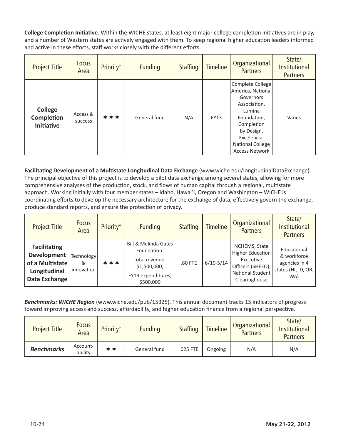**College Completion Initiative**. Within the WICHE states, at least eight major college completion initiatives are in play, and a number of Western states are actively engaged with them. To keep regional higher education leaders informed and active in these efforts, staff works closely with the different efforts.

| <b>Project Title</b>                              | <b>Focus</b><br>Area | Priority* | <b>Funding</b> | <b>Staffing</b> | <b>Timeline</b> | Organizational<br><b>Partners</b>                                                                                                                                                          | State/<br><b>Institutional</b><br><b>Partners</b> |
|---------------------------------------------------|----------------------|-----------|----------------|-----------------|-----------------|--------------------------------------------------------------------------------------------------------------------------------------------------------------------------------------------|---------------------------------------------------|
| <b>College</b><br>Completion<br><b>Initiative</b> | Access &<br>success  | ***       | General fund   | N/A             | <b>FY13</b>     | Complete College<br>America, National<br>Governors<br>Association,<br>Lumina<br>Foundation,<br>Completion<br>by Design,<br>Excelencia,<br><b>National College</b><br><b>Access Network</b> | Varies                                            |

**Facilitating Development of a Multistate Longitudinal Data Exchange** (www.wiche.edu/longitudinalDataExchange). The principal objective of this project is to develop a pilot data exchange among several states, allowing for more comprehensive analyses of the production, stock, and flows of human capital through a regional, multistate approach. Working initially with four member states – Idaho, Hawai'i, Oregon and Washington – WICHE is coordinating efforts to develop the necessary architecture for the exchange of data, effectively govern the exchange, produce standard reports, and ensure the protection of privacy.

| <b>Project Title</b>                                                                   | <b>Focus</b><br>Area          | Priority* | <b>Funding</b>                                                                                                      | <b>Staffing</b> | <b>Timeline</b> | Organizational<br><b>Partners</b>                                                                        | State/<br>Institutional<br><b>Partners</b>                                |
|----------------------------------------------------------------------------------------|-------------------------------|-----------|---------------------------------------------------------------------------------------------------------------------|-----------------|-----------------|----------------------------------------------------------------------------------------------------------|---------------------------------------------------------------------------|
| <b>Facilitating</b><br>Development<br>of a Multistate<br>Longitudinal<br>Data Exchange | Technology<br>&<br>Innovation | ***       | <b>Bill &amp; Melinda Gates</b><br>Foundation:<br>total revenue,<br>\$1,500,000;<br>FY13 expenditures,<br>\$500,000 | .80 FTE         | $6/10-5/14$     | NCHEMS, State<br>Higher Education<br>Executive<br>Officers (SHEEO),<br>National Student<br>Clearinghouse | Educational<br>& workforce<br>agencies in 4<br>states (HI, ID, OR,<br>WA) |

*Benchmarks: WICHE Region* (www.wiche.edu/pub/15325). This annual document tracks 15 indicators of progress toward improving access and success, affordability, and higher education finance from a regional perspective.

| <b>Project Title</b> | <b>Focus</b><br>Area | Priority* | <b>Funding</b> | <b>Staffing</b> | <b>Timeline</b> | Organizational<br><b>Partners</b> | State/<br><b>Institutional</b><br><b>Partners</b> |
|----------------------|----------------------|-----------|----------------|-----------------|-----------------|-----------------------------------|---------------------------------------------------|
| <b>Benchmarks</b>    | Account-<br>ability  | **        | General fund   | .025 FTE        | Ongoing         | N/A                               | N/A                                               |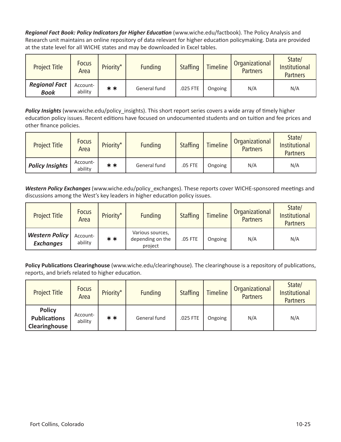*Regional Fact Book: Policy Indicators for Higher Education* (www.wiche.edu/factbook). The Policy Analysis and Research unit maintains an online repository of data relevant for higher education policymaking. Data are provided at the state level for all WICHE states and may be downloaded in Excel tables.

| <b>Project Title</b>                | <b>Focus</b><br>Area | Priority* | <b>Funding</b> | <b>Staffing</b> | <b>Timeline</b> | Organizational<br><b>Partners</b> | State/<br><b>Institutional</b><br><b>Partners</b> |
|-------------------------------------|----------------------|-----------|----------------|-----------------|-----------------|-----------------------------------|---------------------------------------------------|
| <b>Regional Fact</b><br><b>Book</b> | Account-<br>ability  | **        | General fund   | .025 FTE        | Ongoing         | N/A                               | N/A                                               |

*Policy Insights* (www.wiche.edu/policy\_insights). This short report series covers a wide array of timely higher education policy issues. Recent editions have focused on undocumented students and on tuition and fee prices and other finance policies.

| <b>Project Title</b>   | <b>Focus</b><br>Area | Priority* | <b>Funding</b> | <b>Staffing</b> | <b>Timeline</b> | Organizational<br><b>Partners</b> | State/<br><b>Institutional</b><br><b>Partners</b> |
|------------------------|----------------------|-----------|----------------|-----------------|-----------------|-----------------------------------|---------------------------------------------------|
| <b>Policy Insights</b> | Account-<br>ability  | **        | General fund   | .05 FTE         | Ongoing         | N/A                               | N/A                                               |

*Western Policy Exchanges* (www.wiche.edu/policy\_exchanges). These reports cover WICHE-sponsored meetings and discussions among the West's key leaders in higher education policy issues.

| <b>Project Title</b>                      | <b>Focus</b><br>Area | Priority* | <b>Funding</b>                                  | <b>Staffing</b> | <b>Timeline</b> | Organizational<br><b>Partners</b> | State/<br>Institutional<br><b>Partners</b> |
|-------------------------------------------|----------------------|-----------|-------------------------------------------------|-----------------|-----------------|-----------------------------------|--------------------------------------------|
| <b>Western Policy</b><br><b>Exchanges</b> | Account-<br>ability  | **        | Various sources,<br>depending on the<br>project | .05 FTE         | Ongoing         | N/A                               | N/A                                        |

**Policy Publications Clearinghouse** (www.wiche.edu/clearinghouse). The clearinghouse is a repository of publications, reports, and briefs related to higher education.

| <b>Project Title</b>                                  | <b>Focus</b><br>Area | Priority* | <b>Funding</b> | <b>Staffing</b> | <b>Timeline</b> | Organizational<br><b>Partners</b> | State/<br>Institutional<br><b>Partners</b> |
|-------------------------------------------------------|----------------------|-----------|----------------|-----------------|-----------------|-----------------------------------|--------------------------------------------|
| <b>Policy</b><br><b>Publications</b><br>Clearinghouse | Account-<br>ability  | **        | General fund   | .025 FTE        | Ongoing         | N/A                               | N/A                                        |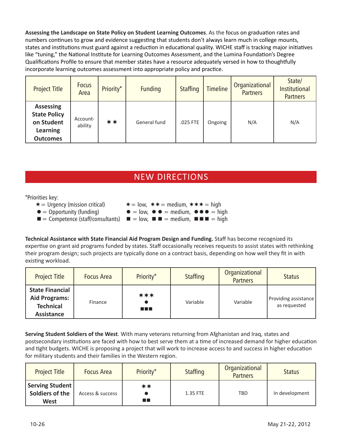**Assessing the Landscape on State Policy on Student Learning Outcomes**. As the focus on graduation rates and numbers continues to grow and evidence suggesting that students don't always learn much in college mounts, states and institutions must guard against a reduction in educational quality. WICHE staff is tracking major initiatives like "tuning," the National Institute for Learning Outcomes Assessment, and the Lumina Foundation's Degree Qualifications Profile to ensure that member states have a resource adequately versed in how to thoughtfully incorporate learning outcomes assessment into appropriate policy and practice.

| <b>Project Title</b>                                                                        | <b>Focus</b><br>Area | Priority* | <b>Funding</b> | <b>Staffing</b> | <b>Timeline</b> | Organizational<br><b>Partners</b> | State/<br>Institutional<br><b>Partners</b> |
|---------------------------------------------------------------------------------------------|----------------------|-----------|----------------|-----------------|-----------------|-----------------------------------|--------------------------------------------|
| <b>Assessing</b><br><b>State Policy</b><br>on Student<br><b>Learning</b><br><b>Outcomes</b> | Account-<br>ability  | $***$     | General fund   | .025 FTE        | Ongoing         | N/A                               | N/A                                        |

## NEW DIRECTIONS

\*Priorities key:

- $\ast$  = Urgency (mission critical)  $\ast$  = low,  $\ast \ast$  = medium,  $\ast \ast \ast$  = high
- 
- 
- $\bullet$  = Opportunity (funding)  $\bullet$  = low,  $\bullet$   $\bullet$  = medium,  $\bullet$   $\bullet$  = high
- $\blacksquare$  = Competence (staff/consultants)  $\blacksquare$  = low,  $\blacksquare$  = medium,  $\blacksquare$  = high

**Technical Assistance with State Financial Aid Program Design and Funding.** Staff has become recognized its expertise on grant aid programs funded by states. Staff occasionally receives requests to assist states with rethinking their program design; such projects are typically done on a contract basis, depending on how well they fit in with existing workload.

| <b>Project Title</b>                                                                    | <b>Focus Area</b> | Priority*          | <b>Staffing</b> | Organizational<br><b>Partners</b> | <b>Status</b>                        |
|-----------------------------------------------------------------------------------------|-------------------|--------------------|-----------------|-----------------------------------|--------------------------------------|
| <b>State Financial</b><br><b>Aid Programs:</b><br><b>Technical</b><br><b>Assistance</b> | Finance           | ***<br>a a shekara | Variable        | Variable                          | Providing assistance<br>as requested |

**Serving Student Soldiers of the West**. With many veterans returning from Afghanistan and Iraq, states and postsecondary institutions are faced with how to best serve them at a time of increased demand for higher education and tight budgets. WICHE is proposing a project that will work to increase access to and success in higher education for military students and their families in the Western region.

| <b>Project Title</b>                                | <b>Focus Area</b> | Priority* | <b>Staffing</b> | Organizational<br><b>Partners</b> | <b>Status</b>  |
|-----------------------------------------------------|-------------------|-----------|-----------------|-----------------------------------|----------------|
| Serving Student  <br>Soldiers of the<br><b>West</b> | Access & success  | **<br>m m | 1.35 FTE        | <b>TBD</b>                        | In development |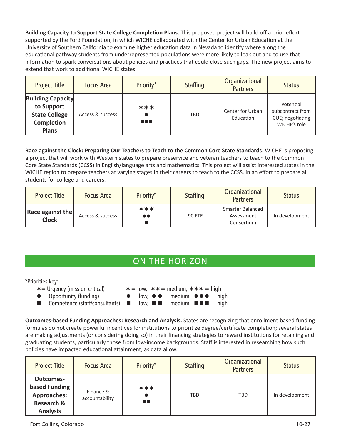**Building Capacity to Support State College Completion Plans.** This proposed project will build off a prior effort supported by the Ford Foundation, in which WICHE collaborated with the Center for Urban Education at the University of Southern California to examine higher education data in Nevada to identify where along the educational pathway students from underrepresented populations were more likely to leak out and to use that information to spark conversations about policies and practices that could close such gaps. The new project aims to extend that work to additional WICHE states.

| <b>Project Title</b>                                                                         | <b>Focus Area</b> | Priority*          | <b>Staffing</b> | Organizational<br><b>Partners</b> | <b>Status</b>                                                     |
|----------------------------------------------------------------------------------------------|-------------------|--------------------|-----------------|-----------------------------------|-------------------------------------------------------------------|
| <b>Building Capacity</b><br>to Support<br><b>State College</b><br>Completion<br><b>Plans</b> | Access & success  | ***<br>a kacamatan | <b>TBD</b>      | Center for Urban<br>Education     | Potential<br>subcontract from<br>CUE; negotiating<br>WICHE's role |

**Race against the Clock: Preparing Our Teachers to Teach to the Common Core State Standards**. WICHE is proposing a project that will work with Western states to prepare preservice and veteran teachers to teach to the Common Core State Standards (CCSS) in English/language arts and mathematics. This project will assist interested states in the WICHE region to prepare teachers at varying stages in their careers to teach to the CCSS, in an effort to prepare all students for college and careers.

| <b>Project Title</b>                    | <b>Focus Area</b> | Priority*               | <b>Staffing</b> | Organizational<br><b>Partners</b>                   | <b>Status</b>  |
|-----------------------------------------|-------------------|-------------------------|-----------------|-----------------------------------------------------|----------------|
| <b>Race against the</b><br><b>Clock</b> | Access & success  | ***<br>$\bullet\bullet$ | .90 FTE         | <b>Smarter Balanced</b><br>Assessment<br>Consortium | In development |

## ON THE HORIZON

#### \*Priorities key:

- $\ast$  = Urgency (mission critical)  $\ast$  = low,  $\ast \ast$  = medium,  $\ast \ast \ast$  = high
- 
- $\bullet$  = Opportunity (funding)  $\bullet$  = low,  $\bullet$   $\bullet$  = medium,  $\bullet$   $\bullet$  = high
- $\blacksquare$  = Competence (staff/consultants)  $\blacksquare$  = low,  $\blacksquare$  = medium,  $\blacksquare$  = high

**Outcomes-based Funding Approaches: Research and Analysis.** States are recognizing that enrollment-based funding formulas do not create powerful incentives for institutions to prioritize degree/certificate completion; several states are making adjustments (or considering doing so) in their financing strategies to reward institutions for retaining and graduating students, particularly those from low-income backgrounds. Staff is interested in researching how such policies have impacted educational attainment, as data allow.

| <b>Project Title</b>                                                                                | <b>Focus Area</b>           | Priority*  | <b>Staffing</b> | Organizational<br><b>Partners</b> | <b>Status</b>  |
|-----------------------------------------------------------------------------------------------------|-----------------------------|------------|-----------------|-----------------------------------|----------------|
| <b>Outcomes-</b><br>based Funding<br><b>Approaches:</b><br><b>Research &amp;</b><br><b>Analysis</b> | Finance &<br>accountability | ***<br>n m | TBD             | <b>TBD</b>                        | In development |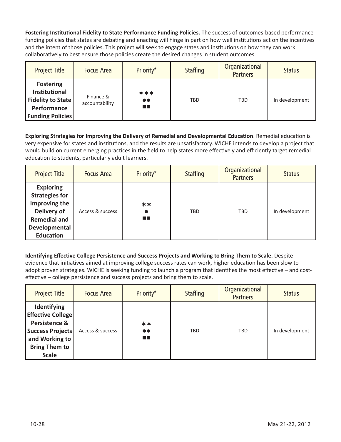**Fostering Institutional Fidelity to State Performance Funding Policies.** The success of outcomes-based performancefunding policies that states are debating and enacting will hinge in part on how well institutions act on the incentives and the intent of those policies. This project will seek to engage states and institutions on how they can work collaboratively to best ensure those policies create the desired changes in student outcomes.

| <b>Project Title</b>                                                                                    | <b>Focus Area</b>           | Priority*                      | <b>Staffing</b> | Organizational<br><b>Partners</b> | <b>Status</b>  |
|---------------------------------------------------------------------------------------------------------|-----------------------------|--------------------------------|-----------------|-----------------------------------|----------------|
| <b>Fostering</b><br>Institutional<br><b>Fidelity to State</b><br>Performance<br><b>Funding Policies</b> | Finance &<br>accountability | ***<br>$\bullet\bullet$<br>n B | <b>TBD</b>      | <b>TBD</b>                        | In development |

**Exploring Strategies for Improving the Delivery of Remedial and Developmental Education**. Remedial education is very expensive for states and institutions, and the results are unsatisfactory. WICHE intends to develop a project that would build on current emerging practices in the field to help states more effectively and efficiently target remedial education to students, particularly adult learners.

| <b>Project Title</b>                                                                                                                  | <b>Focus Area</b> | Priority*            | <b>Staffing</b> | Organizational<br><b>Partners</b> | <b>Status</b>  |
|---------------------------------------------------------------------------------------------------------------------------------------|-------------------|----------------------|-----------------|-----------------------------------|----------------|
| <b>Exploring</b><br><b>Strategies for</b><br>Improving the<br>Delivery of<br><b>Remedial and</b><br>Developmental<br><b>Education</b> | Access & success  | $***$<br><b>TIME</b> | <b>TBD</b>      | <b>TBD</b>                        | In development |

**Identifying Effective College Persistence and Success Projects and Working to Bring Them to Scale.** Despite evidence that initiatives aimed at improving college success rates can work, higher education has been slow to adopt proven strategies. WICHE is seeking funding to launch a program that identifies the most effective – and costeffective – college persistence and success projects and bring them to scale.

| <b>Project Title</b>                                                                                                                          | <b>Focus Area</b> | Priority*                      | <b>Staffing</b> | Organizational<br><b>Partners</b> | <b>Status</b>  |
|-----------------------------------------------------------------------------------------------------------------------------------------------|-------------------|--------------------------------|-----------------|-----------------------------------|----------------|
| Identifying<br><b>Effective College</b><br>Persistence &<br><b>Success Projects</b><br>and Working to<br><b>Bring Them to</b><br><b>Scale</b> | Access & success  | **<br>$\bullet\bullet$<br>a pr | <b>TBD</b>      | <b>TBD</b>                        | In development |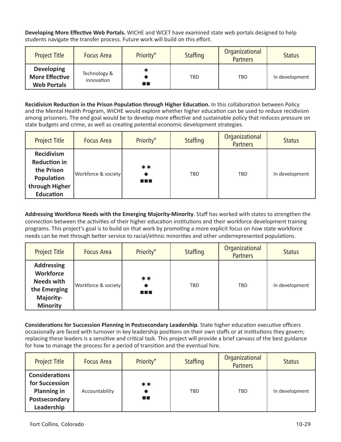**Developing More Effective Web Portals.** WICHE and WCET have examined state web portals designed to help students navigate the transfer process. Future work will build on this effort.

| <b>Project Title</b>                                             | <b>Focus Area</b>          | Priority* | <b>Staffing</b> | Organizational<br><b>Partners</b> | <b>Status</b>  |
|------------------------------------------------------------------|----------------------------|-----------|-----------------|-----------------------------------|----------------|
| <b>Developing</b><br><b>More Effective</b><br><b>Web Portals</b> | Technology &<br>innovation | m m       | TBD             | <b>TBD</b>                        | In development |

**Recidivism Reduction in the Prison Population through Higher Education.** In this collaboration between Policy and the Mental Health Program, WICHE would explore whether higher education can be used to reduce recidivism among prisoners. The end goal would be to develop more effective and sustainable policy that reduces pressure on state budgets and crime, as well as creating potential economic development strategies.

| <b>Project Title</b>                                                                                       | <b>Focus Area</b>   | Priority*    | <b>Staffing</b> | Organizational<br><b>Partners</b> | <b>Status</b>  |
|------------------------------------------------------------------------------------------------------------|---------------------|--------------|-----------------|-----------------------------------|----------------|
| <b>Recidivism</b><br><b>Reduction in</b><br>the Prison<br>Population<br>through Higher<br><b>Education</b> | Workforce & society | **<br>a di B | <b>TBD</b>      | <b>TBD</b>                        | In development |

**Addressing Workforce Needs with the Emerging Majority-Minority**. Staff has worked with states to strengthen the connection between the activities of their higher education institutions and their workforce development training programs. This project's goal is to build on that work by promoting a more explicit focus on how state workforce needs can be met through better service to racial/ethnic minorities and other underrepresented populations.

| <b>Project Title</b>                                                                                       | <b>Focus Area</b>   | Priority*     | <b>Staffing</b> | Organizational<br><b>Partners</b> | <b>Status</b>  |
|------------------------------------------------------------------------------------------------------------|---------------------|---------------|-----------------|-----------------------------------|----------------|
| <b>Addressing</b><br><b>Workforce</b><br><b>Needs with</b><br>the Emerging<br>Majority-<br><b>Minority</b> | Workforce & society | **<br>a sa sa | TBD             | <b>TBD</b>                        | In development |

**Considerations for Succession Planning in Postsecondary Leadership**. State higher education executive officers occasionally are faced with turnover in key leadership positions on their own staffs or at institutions they govern; replacing these leaders is a sensitive and critical task. This project will provide a brief canvass of the best guidance for how to manage the process for a period of transition and the eventual hire.

| <b>Project Title</b>                                                                         | <b>Focus Area</b> | Priority*   | <b>Staffing</b> | Organizational<br><b>Partners</b> | <b>Status</b>  |
|----------------------------------------------------------------------------------------------|-------------------|-------------|-----------------|-----------------------------------|----------------|
| <b>Considerations</b><br>for Succession<br><b>Planning in</b><br>Postsecondary<br>Leadership | Accountability    | **<br>n Bir | TBD             | <b>TBD</b>                        | In development |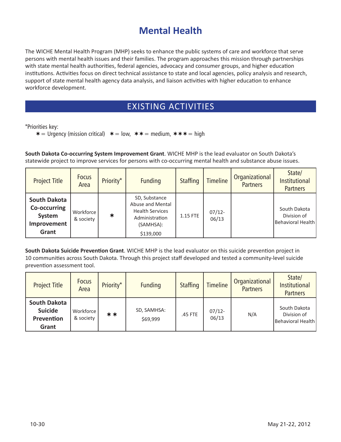# **Mental Health**

The WICHE Mental Health Program (MHP) seeks to enhance the public systems of care and workforce that serve persons with mental health issues and their families. The program approaches this mission through partnerships with state mental health authorities, federal agencies, advocacy and consumer groups, and higher education institutions. Activities focus on direct technical assistance to state and local agencies, policy analysis and research, support of state mental health agency data analysis, and liaison activities with higher education to enhance workforce development.

## EXISTING ACTIVITIES

\*Priorities key:

 $\ast$  = Urgency (mission critical)  $\ast$  = low,  $\ast \ast$  = medium,  $\ast \ast \ast$  = high

**South Dakota Co-occurring System Improvement Grant**. WICHE MHP is the lead evaluator on South Dakota's statewide project to improve services for persons with co-occurring mental health and substance abuse issues.

| <b>Project Title</b>                                                  | <b>Focus</b><br>Area   | Priority*  | <b>Funding</b>                                                                                          | <b>Staffing</b> | <b>Timeline</b>    | Organizational<br><b>Partners</b> | State/<br>Institutional<br><b>Partners</b>       |
|-----------------------------------------------------------------------|------------------------|------------|---------------------------------------------------------------------------------------------------------|-----------------|--------------------|-----------------------------------|--------------------------------------------------|
| <b>South Dakota</b><br>Co-occurring<br>System<br>Improvement<br>Grant | Workforce<br>& society | $\bigstar$ | SD, Substance<br>Abuse and Mental<br><b>Health Services</b><br>Administration<br>(SAMHSA):<br>\$139,000 | 1.15 FTE        | $07/12 -$<br>06/13 |                                   | South Dakota<br>Division of<br>Behavioral Health |

**South Dakota Suicide Prevention Grant**. WICHE MHP is the lead evaluator on this suicide prevention project in 10 communities across South Dakota. Through this project staff developed and tested a community-level suicide prevention assessment tool.

| <b>Project Title</b>                                         | <b>Focus</b><br>Area   | Priority* | <b>Funding</b>          | <b>Staffing</b> | <b>Timeline</b>    | Organizational<br><b>Partners</b> | State/<br><b>Institutional</b><br><b>Partners</b> |
|--------------------------------------------------------------|------------------------|-----------|-------------------------|-----------------|--------------------|-----------------------------------|---------------------------------------------------|
| <b>South Dakota</b><br><b>Suicide</b><br>Prevention<br>Grant | Workforce<br>& society | **        | SD, SAMHSA:<br>\$69,999 | .45 FTE         | $07/12 -$<br>06/13 | N/A                               | South Dakota<br>Division of<br>Behavioral Health  |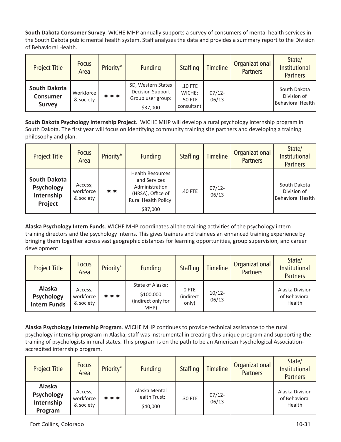**South Dakota Consumer Survey**. WICHE MHP annually supports a survey of consumers of mental health services in the South Dakota public mental health system. Staff analyzes the data and provides a summary report to the Division of Behavioral Health.

| <b>Project Title</b>                                    | <b>Focus</b><br>Area   | Priority* | <b>Funding</b>                                                                 | <b>Staffing</b>                              | <b>Timeline</b>    | Organizational<br><b>Partners</b> | State/<br>Institutional<br><b>Partners</b>       |
|---------------------------------------------------------|------------------------|-----------|--------------------------------------------------------------------------------|----------------------------------------------|--------------------|-----------------------------------|--------------------------------------------------|
| <b>South Dakota</b><br><b>Consumer</b><br><b>Survey</b> | Workforce<br>& society | ***       | SD, Western States<br><b>Decision Support</b><br>Group user group:<br>\$37,000 | $.10$ FTE<br>WICHE;<br>.50 FTE<br>consultant | $07/12 -$<br>06/13 |                                   | South Dakota<br>Division of<br>Behavioral Health |

**South Dakota Psychology Internship Project**. WICHE MHP will develop a rural psychology internship program in South Dakota. The first year will focus on identifying community training site partners and developing a training philosophy and plan.

| <b>Project Title</b>                                              | <b>Focus</b><br>Area              | Priority* | <b>Funding</b>                                                                                              | <b>Staffing</b> | <b>Timeline</b>    | Organizational<br><b>Partners</b> | State/<br><b>Institutional</b><br><b>Partners</b> |
|-------------------------------------------------------------------|-----------------------------------|-----------|-------------------------------------------------------------------------------------------------------------|-----------------|--------------------|-----------------------------------|---------------------------------------------------|
| <b>South Dakota</b><br>Psychology<br>Internship<br><b>Project</b> | Access;<br>workforce<br>& society | **        | Health Resources<br>and Services<br>Administration<br>(HRSA), Office of<br>Rural Health Policy:<br>\$87,000 | .40 FTE         | $07/12 -$<br>06/13 |                                   | South Dakota<br>Division of<br>Behavioral Health  |

**Alaska Psychology Intern Funds**. WICHE MHP coordinates all the training activities of the psychology intern training directors and the psychology interns. This gives trainers and trainees an enhanced training experience by bringing them together across vast geographic distances for learning opportunities, group supervision, and career development.

| <b>Project Title</b>                               | <b>Focus</b><br>Area              | Priority* | <b>Funding</b>                                              | <b>Staffing</b>             | <b>Timeline</b>    | Organizational<br><b>Partners</b> | State/<br>Institutional<br><b>Partners</b> |
|----------------------------------------------------|-----------------------------------|-----------|-------------------------------------------------------------|-----------------------------|--------------------|-----------------------------------|--------------------------------------------|
| Alaska<br><b>Psychology</b><br><b>Intern Funds</b> | Access,<br>workforce<br>& society | ***       | State of Alaska:<br>\$100,000<br>(indirect only for<br>MHP) | 0 FTE<br>(indirect<br>only) | $10/12 -$<br>06/13 |                                   | Alaska Division<br>of Behavioral<br>Health |

**Alaska Psychology Internship Program**. WICHE MHP continues to provide technical assistance to the rural psychology internship program in Alaska; staff was instrumental in creating this unique program and supporting the training of psychologists in rural states. This program is on the path to be an American Psychological Associationaccredited internship program.

| <b>Project Title</b>                                 | <b>Focus</b><br>Area              | Priority* | <b>Funding</b>                             | <b>Staffing</b> | <b>Timeline</b>    | Organizational<br><b>Partners</b> | State/<br><b>Institutional</b><br><b>Partners</b> |
|------------------------------------------------------|-----------------------------------|-----------|--------------------------------------------|-----------------|--------------------|-----------------------------------|---------------------------------------------------|
| Alaska<br><b>Psychology</b><br>Internship<br>Program | Access,<br>workforce<br>& society | ***       | Alaska Mental<br>Health Trust:<br>\$40,000 | .30 FTE         | $07/12 -$<br>06/13 |                                   | Alaska Division<br>of Behavioral<br>Health        |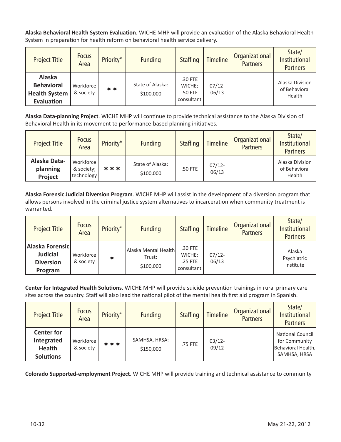**Alaska Behavioral Health System Evaluation**. WICHE MHP will provide an evaluation of the Alaska Behavioral Health System in preparation for health reform on behavioral health service delivery.

| <b>Project Title</b>                                              | <b>Focus</b><br>Area   | Priority* | <b>Funding</b>                | <b>Staffing</b>                            | <b>Timeline</b>    | Organizational<br><b>Partners</b> | State/<br>Institutional<br><b>Partners</b> |
|-------------------------------------------------------------------|------------------------|-----------|-------------------------------|--------------------------------------------|--------------------|-----------------------------------|--------------------------------------------|
| Alaska<br><b>Behavioral</b><br><b>Health System</b><br>Evaluation | Workforce<br>& society | **        | State of Alaska:<br>\$100,000 | .30 FTE<br>WICHE:<br>.50 FTE<br>consultant | $07/12 -$<br>06/13 |                                   | Alaska Division<br>of Behavioral<br>Health |

**Alaska Data-planning Project**. WICHE MHP will continue to provide technical assistance to the Alaska Division of Behavioral Health in its movement to performance-based planning initiatives.

| <b>Project Title</b>                | <b>Focus</b><br>Area                  | Priority* | <b>Funding</b>                | Staffing | <b>Timeline</b>    | Organizational<br><b>Partners</b> | State/<br>Institutional<br><b>Partners</b> |
|-------------------------------------|---------------------------------------|-----------|-------------------------------|----------|--------------------|-----------------------------------|--------------------------------------------|
| Alaska Data-<br>planning<br>Project | Workforce<br>& society;<br>technology | ***       | State of Alaska:<br>\$100,000 | .50 FTE  | $07/12 -$<br>06/13 |                                   | Alaska Division<br>of Behavioral<br>Health |

**Alaska Forensic Judicial Diversion Program**. WICHE MHP will assist in the development of a diversion program that allows persons involved in the criminal justice system alternatives to incarceration when community treatment is warranted.

| <b>Project Title</b>                                              | <b>Focus</b><br>Area   | Priority* | <b>Funding</b>                              | <b>Staffing</b>                            | <b>Timeline</b>    | Organizational<br><b>Partners</b> | State/<br><b>Institutional</b><br><b>Partners</b> |
|-------------------------------------------------------------------|------------------------|-----------|---------------------------------------------|--------------------------------------------|--------------------|-----------------------------------|---------------------------------------------------|
| Alaska Forensic<br><b>Judicial</b><br><b>Diversion</b><br>Program | Workforce<br>& society | ∗         | Alaska Mental Health<br>Trust:<br>\$100,000 | .30 FTE<br>WICHE;<br>.25 FTE<br>consultant | $07/12 -$<br>06/13 |                                   | Alaska<br>Psychiatric<br>Institute                |

**Center for Integrated Health Solutions**. WICHE MHP will provide suicide prevention trainings in rural primary care sites across the country. Staff will also lead the national pilot of the mental health first aid program in Spanish.

| <b>Project Title</b>                                                 | <b>Focus</b><br>Area   | Priority* | <b>Funding</b>             | <b>Staffing</b> | <b>Timeline</b>    | Organizational<br><b>Partners</b> | State/<br><b>Institutional</b><br><b>Partners</b>                              |
|----------------------------------------------------------------------|------------------------|-----------|----------------------------|-----------------|--------------------|-----------------------------------|--------------------------------------------------------------------------------|
| <b>Center for</b><br>Integrated<br><b>Health</b><br><b>Solutions</b> | Workforce<br>& society | ***       | SAMHSA, HRSA:<br>\$150,000 | .75 FTE         | $03/12 -$<br>09/12 |                                   | <b>National Council</b><br>for Community<br>Behavioral Health,<br>SAMHSA, HRSA |

**Colorado Supported-employment Project**. WICHE MHP will provide training and technical assistance to community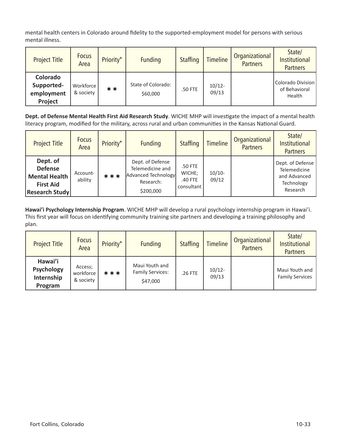mental health centers in Colorado around fidelity to the supported-employment model for persons with serious mental illness.

| <b>Project Title</b>                            | <b>Focus</b><br>Area   | Priority* | <b>Funding</b>                 | <b>Staffing</b> | <b>Timeline</b>    | Organizational<br><b>Partners</b> | State/<br><b>Institutional</b><br><b>Partners</b> |
|-------------------------------------------------|------------------------|-----------|--------------------------------|-----------------|--------------------|-----------------------------------|---------------------------------------------------|
| Colorado<br>Supported-<br>employment<br>Project | Workforce<br>& society | **        | State of Colorado:<br>\$60,000 | .50 FTE         | $10/12 -$<br>09/13 |                                   | Colorado Division<br>of Behavioral<br>Health      |

**Dept. of Defense Mental Health First Aid Research Study**. WICHE MHP will investigate the impact of a mental health literacy program, modified for the military, across rural and urban communities in the Kansas National Guard.

| <b>Project Title</b>                                                                            | <b>Focus</b><br>Area | Priority* | <b>Funding</b>                                                                        | <b>Staffing</b>                            | <b>Timeline</b>   | Organizational<br><b>Partners</b> | State/<br>Institutional<br><b>Partners</b>                                 |
|-------------------------------------------------------------------------------------------------|----------------------|-----------|---------------------------------------------------------------------------------------|--------------------------------------------|-------------------|-----------------------------------|----------------------------------------------------------------------------|
| Dept. of<br><b>Defense</b><br><b>Mental Health</b><br><b>First Aid</b><br><b>Research Study</b> | Account-<br>ability  | ***       | Dept. of Defense<br>Telemedicine and<br>Advanced Technology<br>Research:<br>\$200,000 | .50 FTE<br>WICHE;<br>.40 FTE<br>consultant | $10/10-$<br>09/12 |                                   | Dept. of Defense<br>Telemedicine<br>and Advanced<br>Technology<br>Research |

**Hawai'i Psychology Internship Program**. WICHE MHP will develop a rural psychology internship program in Hawai'i. This first year will focus on identifying community training site partners and developing a training philosophy and plan.

| <b>Project Title</b>                                  | <b>Focus</b><br>Area              | Priority* | <b>Funding</b>                                        | <b>Staffing</b> | <b>Timeline</b>    | Organizational<br><b>Partners</b> | State/<br>Institutional<br><b>Partners</b> |
|-------------------------------------------------------|-----------------------------------|-----------|-------------------------------------------------------|-----------------|--------------------|-----------------------------------|--------------------------------------------|
| Hawai'i<br><b>Psychology</b><br>Internship<br>Program | Access;<br>workforce<br>& society | ***       | Maui Youth and<br><b>Family Services:</b><br>\$47,000 | .26 FTE         | $10/12 -$<br>09/13 |                                   | Maui Youth and<br><b>Family Services</b>   |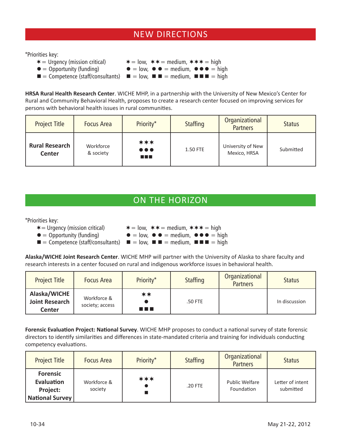## NEW DIRECTIONS

\*Priorities key:

- $* =$  Urgency (mission critical)  $* = \text{low}, ** = \text{medium}, *** = \text{high}$
- 
- $\bullet$  = Opportunity (funding)  $\bullet$  = low,  $\bullet$   $\bullet$  = medium,  $\bullet$   $\bullet$  = high

 $\blacksquare$  = Competence (staff/consultants)  $\blacksquare$  = low,  $\blacksquare$  = medium,  $\blacksquare$  = high

**HRSA Rural Health Research Center**. WICHE MHP, in a partnership with the University of New Mexico's Center for Rural and Community Behavioral Health, proposes to create a research center focused on improving services for persons with behavioral health issues in rural communities.

| <b>Project Title</b>                   | <b>Focus Area</b>      | Priority*                                     | <b>Staffing</b> | Organizational<br><b>Partners</b> | <b>Status</b> |
|----------------------------------------|------------------------|-----------------------------------------------|-----------------|-----------------------------------|---------------|
| <b>Rural Research</b><br><b>Center</b> | Workforce<br>& society | ***<br>$\bullet\bullet\bullet$<br>a kacamatan | 1.50 FTE        | University of New<br>Mexico, HRSA | Submitted     |

## ON THE HORIZON

\*Priorities key:

 $\ast$  = Urgency (mission critical)  $\ast$  = low,  $\ast \ast$  = medium,  $\ast \ast \ast$  = high

- $\blacksquare$  = Competence (staff/consultants)  $\blacksquare$  = low,  $\blacksquare$  = medium,  $\blacksquare$   $\blacksquare$  = high
- $\bullet$  = Opportunity (funding)  $\bullet$  = low,  $\bullet$   $\bullet$  = medium,  $\bullet$   $\bullet$  = high

**Alaska/WICHE Joint Research Center**. WICHE MHP will partner with the University of Alaska to share faculty and research interests in a center focused on rural and indigenous workforce issues in behavioral health.

| <b>Project Title</b>                                   | <b>Focus Area</b>              | Priority*   | <b>Staffing</b> | Organizational<br><b>Partners</b> | <b>Status</b> |
|--------------------------------------------------------|--------------------------------|-------------|-----------------|-----------------------------------|---------------|
| Alaska/WICHE<br><b>Joint Research</b><br><b>Center</b> | Workforce &<br>society; access | **<br>n n n | .50 FTE         |                                   | In discussion |

**Forensic Evaluation Project: National Survey**. WICHE MHP proposes to conduct a national survey of state forensic directors to identify similarities and differences in state-mandated criteria and training for individuals conducting competency evaluations.

| <b>Project Title</b>                                                | <b>Focus Area</b>      | Priority* | <b>Staffing</b> | Organizational<br><b>Partners</b>   | <b>Status</b>                 |
|---------------------------------------------------------------------|------------------------|-----------|-----------------|-------------------------------------|-------------------------------|
| <b>Forensic</b><br>Evaluation<br>Project:<br><b>National Survey</b> | Workforce &<br>society | ***       | .20 FTE         | <b>Public Welfare</b><br>Foundation | Letter of intent<br>submitted |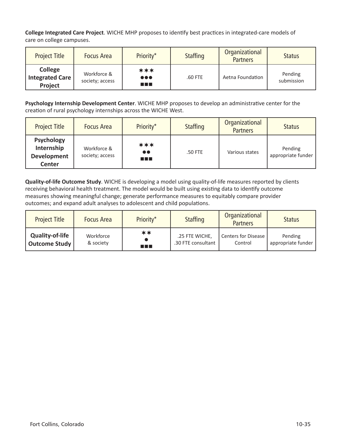**College Integrated Care Project**. WICHE MHP proposes to identify best practices in integrated-care models of care on college campuses.

| <b>Project Title</b>                         | <b>Focus Area</b>              | Priority*                                     | <b>Staffing</b> | Organizational<br><b>Partners</b> | <b>Status</b>         |
|----------------------------------------------|--------------------------------|-----------------------------------------------|-----------------|-----------------------------------|-----------------------|
| <b>College</b><br>Integrated Care<br>Project | Workforce &<br>society; access | ***<br>$\bullet\bullet\bullet$<br>a a shekara | .60 FTE         | Aetna Foundation                  | Pending<br>submission |

**Psychology Internship Development Center**. WICHE MHP proposes to develop an administrative center for the creation of rural psychology internships across the WICHE West.

| <b>Project Title</b>                                            | <b>Focus Area</b>              | Priority*                              | <b>Staffing</b> | Organizational<br><b>Partners</b> | <b>Status</b>                 |
|-----------------------------------------------------------------|--------------------------------|----------------------------------------|-----------------|-----------------------------------|-------------------------------|
| <b>Psychology</b><br>Internship<br>Development<br><b>Center</b> | Workforce &<br>society; access | ***<br>$\bullet\bullet$<br>a a shekara | .50 FTE         | Various states                    | Pending<br>appropriate funder |

**Quality-of-life Outcome Study**. WICHE is developing a model using quality-of-life measures reported by clients receiving behavioral health treatment. The model would be built using existing data to identify outcome measures showing meaningful change; generate performance measures to equitably compare provider outcomes; and expand adult analyses to adolescent and child populations.

| <b>Project Title</b>   | <b>Focus Area</b> | Priority* | <b>Staffing</b>    | Organizational<br><b>Partners</b> | <b>Status</b>      |
|------------------------|-------------------|-----------|--------------------|-----------------------------------|--------------------|
| <b>Quality-of-life</b> | Workforce         | **        | .25 FTE WICHE,     | Centers for Disease               | Pending            |
| Outcome Study          | & society         | a sa B    | .30 FTE consultant | Control                           | appropriate funder |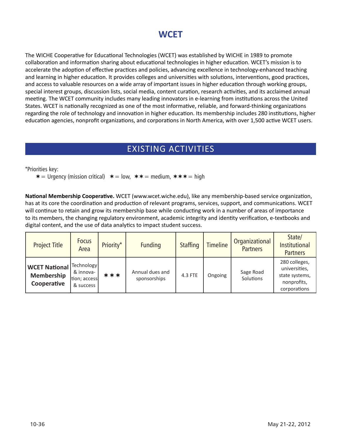## **WCET**

The WICHE Cooperative for Educational Technologies (WCET) was established by WICHE in 1989 to promote collaboration and information sharing about educational technologies in higher education. WCET's mission is to accelerate the adoption of effective practices and policies, advancing excellence in technology-enhanced teaching and learning in higher education. It provides colleges and universities with solutions, interventions, good practices, and access to valuable resources on a wide array of important issues in higher education through working groups, special interest groups, discussion lists, social media, content curation, research activities, and its acclaimed annual meeting. The WCET community includes many leading innovators in e-learning from institutions across the United States. WCET is nationally recognized as one of the most informative, reliable, and forward-thinking organizations regarding the role of technology and innovation in higher education. Its membership includes 280 institutions, higher education agencies, nonprofit organizations, and corporations in North America, with over 1,500 active WCET users.

## EXISTING ACTIVITIES

\*Priorities key:

 $\ast$  = Urgency (mission critical)  $\ast$  = low,  $\ast \ast$  = medium,  $\ast \ast \ast$  = high

**National Membership Cooperative.** WCET (www.wcet.wiche.edu), like any membership-based service organization, has at its core the coordination and production of relevant programs, services, support, and communications. WCET will continue to retain and grow its membership base while conducting work in a number of areas of importance to its members, the changing regulatory environment, academic integrity and identity verification, e-textbooks and digital content, and the use of data analytics to impact student success.

| <b>Project Title</b>                              | <b>Focus</b><br>Area                                  | Priority* | <b>Funding</b>                  | <b>Staffing</b> | <b>Timeline</b> | Organizational<br><b>Partners</b> | State/<br>Institutional<br><b>Partners</b>                                      |
|---------------------------------------------------|-------------------------------------------------------|-----------|---------------------------------|-----------------|-----------------|-----------------------------------|---------------------------------------------------------------------------------|
| <b>WCET National</b><br>Membership<br>Cooperative | Technology<br>& innova-<br>tion; access!<br>& success | ***       | Annual dues and<br>sponsorships | 4.3 FTE         | Ongoing         | Sage Road<br>Solutions            | 280 colleges,<br>universities,<br>state systems,<br>nonprofits,<br>corporations |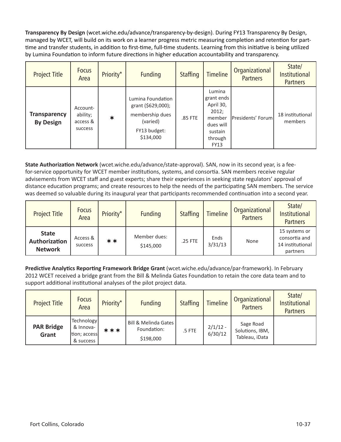**Transparency By Design** (wcet.wiche.edu/advance/transparency-by-design). During FY13 Transparency By Design, managed by WCET, will build on its work on a learner progress metric measuring completion and retention for parttime and transfer students, in addition to first-time, full-time students. Learning from this initiative is being utilized by Lumina Foundation to inform future directions in higher education accountability and transparency.

| <b>Project Title</b>                    | <b>Focus</b><br>Area                        | Priority* | <b>Funding</b>                                                                                      | <b>Staffing</b> | <b>Timeline</b>                                                                                        | Organizational<br><b>Partners</b> | State/<br><b>Institutional</b><br><b>Partners</b> |
|-----------------------------------------|---------------------------------------------|-----------|-----------------------------------------------------------------------------------------------------|-----------------|--------------------------------------------------------------------------------------------------------|-----------------------------------|---------------------------------------------------|
| <b>Transparency</b><br><b>By Design</b> | Account-<br>ability;<br>access &<br>success | $\ast$    | Lumina Foundation<br>grant (\$629,000);<br>membership dues<br>(varied)<br>FY13 budget:<br>\$134,000 | .85 FTE         | Lumina<br>grant ends<br>April 30,<br>2012;<br>member<br>dues will<br>sustain<br>through<br><b>FY13</b> | Presidents' Forum                 | 18 institutional<br>members                       |

**State Authorization Network** (wcet.wiche.edu/advance/state-approval). SAN, now in its second year, is a feefor-service opportunity for WCET member institutions, systems, and consortia. SAN members receive regular advisements from WCET staff and guest experts; share their experiences in seeking state regulators' approval of distance education programs; and create resources to help the needs of the participating SAN members. The service was deemed so valuable during its inaugural year that participants recommended continuation into a second year.

| <b>Project Title</b>                            | <b>Focus</b><br>Area | Priority* | <b>Funding</b>            | <b>Staffing</b> | <b>Timeline</b> | Organizational<br><b>Partners</b> | State/<br><b>Institutional</b><br><b>Partners</b>              |
|-------------------------------------------------|----------------------|-----------|---------------------------|-----------------|-----------------|-----------------------------------|----------------------------------------------------------------|
| <b>State</b><br>Authorization<br><b>Network</b> | Access &<br>success  | **        | Member dues:<br>\$145,000 | .25 FTE         | Ends<br>3/31/13 | None                              | 15 systems or<br>consortia and<br>14 institutional<br>partners |

**Predictive Analytics Reporting Framework Bridge Grant** (wcet.wiche.edu/advance/par-framework). In February 2012 WCET received a bridge grant from the Bill & Melinda Gates Foundation to retain the core data team and to support additional institutional analyses of the pilot project data.

| <b>Project Title</b>       | <b>Focus</b><br>Area                                 | Priority* | <b>Funding</b>                                   | <b>Staffing</b> | <b>Timeline</b>       | Organizational<br><b>Partners</b>              | State/<br>Institutional<br><b>Partners</b> |
|----------------------------|------------------------------------------------------|-----------|--------------------------------------------------|-----------------|-----------------------|------------------------------------------------|--------------------------------------------|
| <b>PAR Bridge</b><br>Grant | Technology<br>& Innova-<br>tion; access<br>& success | ***       | Bill & Melinda Gates<br>Foundation:<br>\$198,000 | .5 FTE          | $2/1/12 -$<br>6/30/12 | Sage Road<br>Solutions, IBM,<br>Tableau, iData |                                            |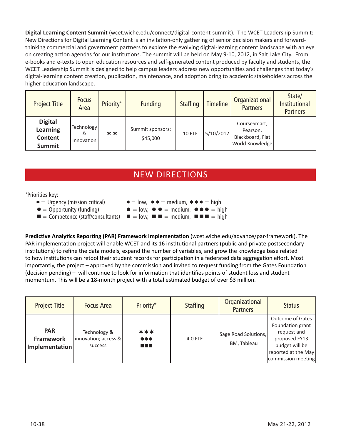**Digital Learning Content Summit** (wcet.wiche.edu/connect/digital-content-summit). The WCET Leadership Summit: New Directions for Digital Learning Content is an invitation-only gathering of senior decision makers and forwardthinking commercial and government partners to explore the evolving digital-learning content landscape with an eye on creating action agendas for our institutions. The summit will be held on May 9-10, 2012, in Salt Lake City. From e-books and e-texts to open education resources and self-generated content produced by faculty and students, the WCET Leadership Summit is designed to help campus leaders address new opportunities and challenges that today's digital-learning content creation, publication, maintenance, and adoption bring to academic stakeholders across the higher education landscape.

| <b>Project Title</b>                                   | <b>Focus</b><br>Area          | Priority* | <b>Funding</b>               | <b>Staffing</b> | <b>Timeline</b> | Organizational<br><b>Partners</b>                                      | State/<br><b>Institutional</b><br><b>Partners</b> |
|--------------------------------------------------------|-------------------------------|-----------|------------------------------|-----------------|-----------------|------------------------------------------------------------------------|---------------------------------------------------|
| <b>Digital</b><br>Learning<br>Content<br><b>Summit</b> | Technology<br>&<br>Innovation | **        | Summit sponsors:<br>\$45,000 | .10 FTE         | 5/10/2012       | CourseSmart,<br>Pearson,<br>Blackboard, Flat<br><b>World Knowledge</b> |                                                   |

## NEW DIRECTIONS

#### \*Priorities key:

- $* =$  Urgency (mission critical)  $* = \text{low}, ** = \text{medium}, *** = \text{high}$  $\bullet$  = Opportunity (funding)  $\bullet$  = low,  $\bullet$   $\bullet$  = medium,  $\bullet$   $\bullet$  = high
- 
- $\blacksquare$  = Competence (staff/consultants)  $\blacksquare$  = low,  $\blacksquare$  = medium,  $\blacksquare$  = high

**Predictive Analytics Reporting (PAR) Framework Implementation** (wcet.wiche.edu/advance/par-framework). The PAR implementation project will enable WCET and its 16 institutional partners (public and private postsecondary institutions) to refine the data models, expand the number of variables, and grow the knowledge base related to how institutions can retool their student records for participation in a federated data aggregation effort. Most importantly, the project – approved by the commission and invited to request funding from the Gates Foundation (decision pending) – will continue to look for information that identifies points of student loss and student momentum. This will be a 18-month project with a total estimated budget of over \$3 million.

| <b>Project Title</b>                             | <b>Focus Area</b>                                 | Priority*                                       | <b>Staffing</b> | Organizational<br><b>Partners</b>    | <b>Status</b>                                                                                                                              |
|--------------------------------------------------|---------------------------------------------------|-------------------------------------------------|-----------------|--------------------------------------|--------------------------------------------------------------------------------------------------------------------------------------------|
| <b>PAR</b><br><b>Framework</b><br>Implementation | Technology &<br> innovation; access & <br>success | ***<br>$\bullet\bullet\bullet$<br><b>The Co</b> | 4.0 FTE         | Sage Road Solutions,<br>IBM, Tableau | <b>Outcome of Gates</b><br>Foundation grant<br>request and<br>proposed FY13<br>budget will be<br>reported at the May<br>commission meeting |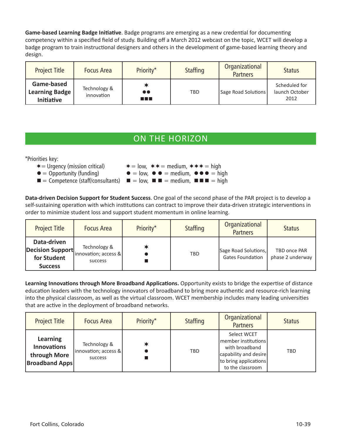**Game-based Learning Badge Initiative**. Badge programs are emerging as a new credential for documenting competency within a specified field of study. Building off a March 2012 webcast on the topic, WCET will develop a badge program to train instructional designers and others in the development of game-based learning theory and design.

| <b>Project Title</b>                                     | <b>Focus Area</b>          | Priority*                 | <b>Staffing</b> | Organizational<br><b>Partners</b> | <b>Status</b>                           |
|----------------------------------------------------------|----------------------------|---------------------------|-----------------|-----------------------------------|-----------------------------------------|
| Game-based<br><b>Learning Badge</b><br><b>Initiative</b> | Technology &<br>innovation | $\bullet\bullet$<br>n a s | <b>TBD</b>      | Sage Road Solutions               | Scheduled for<br>launch October<br>2012 |

## ON THE HORIZON

\*Priorities key:

- $\ast$  = Urgency (mission critical)  $\ast$  = low,  $\ast \ast$  = medium,  $\ast \ast \ast$  = high  $\bullet$  = Opportunity (funding)  $\bullet$  = low,  $\bullet$   $\bullet$  = medium,  $\bullet$   $\bullet$  = high
- $\blacksquare$  = Competence (staff/consultants)  $\blacksquare$  = low,  $\blacksquare$  = medium,  $\blacksquare$   $\blacksquare$  = high

**Data-driven Decision Support for Student Success**. One goal of the second phase of the PAR project is to develop a self-sustaining operation with which institutions can contract to improve their data-driven strategic interventions in order to minimize student loss and support student momentum in online learning.

| <b>Project Title</b>                         | <b>Focus Area</b>                                 | Priority* | <b>Staffing</b> | Organizational<br><b>Partners</b>               | <b>Status</b>                    |
|----------------------------------------------|---------------------------------------------------|-----------|-----------------|-------------------------------------------------|----------------------------------|
| Data-driven<br>for Student<br><b>Success</b> | (Decision Support innovation; access &<br>success |           | <b>TBD</b>      | Sage Road Solutions,<br><b>Gates Foundation</b> | TBD once PAR<br>phase 2 underway |

**Learning Innovations through More Broadband Applications.** Opportunity exists to bridge the expertise of distance education leaders with the technology innovators of broadband to bring more authentic and resource-rich learning into the physical classroom, as well as the virtual classroom. WCET membership includes many leading universities that are active in the deployment of broadband networks.

| <b>Project Title</b>                                                    | <b>Focus Area</b>                               | Priority* | <b>Staffing</b> | Organizational<br><b>Partners</b>                                                                                          | <b>Status</b> |
|-------------------------------------------------------------------------|-------------------------------------------------|-----------|-----------------|----------------------------------------------------------------------------------------------------------------------------|---------------|
| Learning<br><b>Innovations</b><br>through More<br><b>Broadband Apps</b> | Technology &<br>innovation; access &<br>success |           | <b>TBD</b>      | Select WCET<br>member institutions<br>with broadband<br>capability and desire<br>to bring applications<br>to the classroom | <b>TBD</b>    |